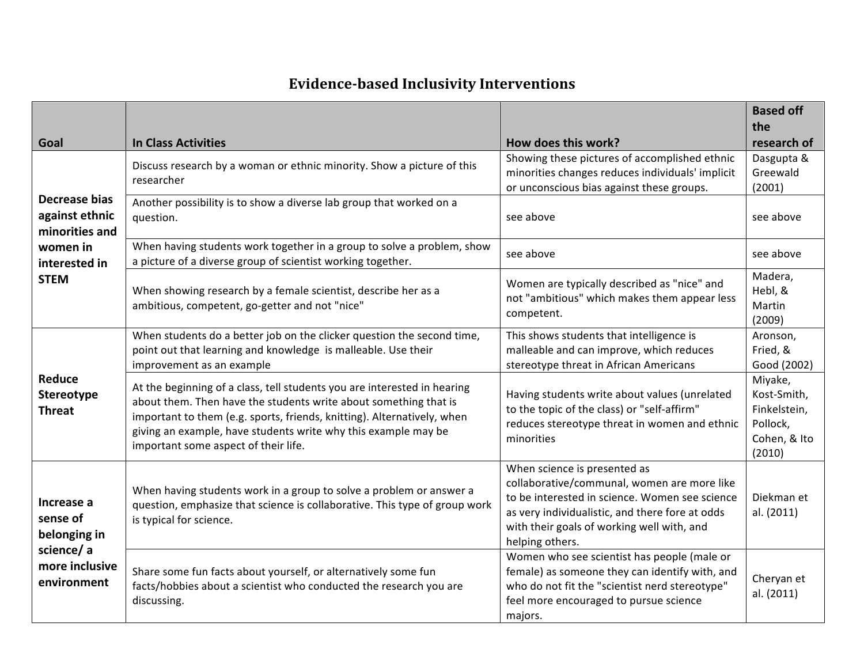## **Evidence-based Inclusivity Interventions**

| Goal                                                                                          | <b>In Class Activities</b>                                                                                                                                                                                                                                                                                                        | How does this work?                                                                                                                                                                                                                               | <b>Based off</b><br>the<br>research of                                       |
|-----------------------------------------------------------------------------------------------|-----------------------------------------------------------------------------------------------------------------------------------------------------------------------------------------------------------------------------------------------------------------------------------------------------------------------------------|---------------------------------------------------------------------------------------------------------------------------------------------------------------------------------------------------------------------------------------------------|------------------------------------------------------------------------------|
| Decrease bias<br>against ethnic<br>minorities and<br>women in<br>interested in<br><b>STEM</b> | Discuss research by a woman or ethnic minority. Show a picture of this<br>researcher                                                                                                                                                                                                                                              | Showing these pictures of accomplished ethnic<br>minorities changes reduces individuals' implicit<br>or unconscious bias against these groups.                                                                                                    | Dasgupta &<br>Greewald<br>(2001)                                             |
|                                                                                               | Another possibility is to show a diverse lab group that worked on a<br>question.                                                                                                                                                                                                                                                  | see above                                                                                                                                                                                                                                         | see above                                                                    |
|                                                                                               | When having students work together in a group to solve a problem, show<br>a picture of a diverse group of scientist working together.                                                                                                                                                                                             | see above                                                                                                                                                                                                                                         | see above                                                                    |
|                                                                                               | When showing research by a female scientist, describe her as a<br>ambitious, competent, go-getter and not "nice"                                                                                                                                                                                                                  | Women are typically described as "nice" and<br>not "ambitious" which makes them appear less<br>competent.                                                                                                                                         | Madera,<br>Hebl, &<br>Martin<br>(2009)                                       |
| Reduce<br>Stereotype<br><b>Threat</b>                                                         | When students do a better job on the clicker question the second time,<br>point out that learning and knowledge is malleable. Use their<br>improvement as an example                                                                                                                                                              | This shows students that intelligence is<br>malleable and can improve, which reduces<br>stereotype threat in African Americans                                                                                                                    | Aronson,<br>Fried, &<br>Good (2002)                                          |
|                                                                                               | At the beginning of a class, tell students you are interested in hearing<br>about them. Then have the students write about something that is<br>important to them (e.g. sports, friends, knitting). Alternatively, when<br>giving an example, have students write why this example may be<br>important some aspect of their life. | Having students write about values (unrelated<br>to the topic of the class) or "self-affirm"<br>reduces stereotype threat in women and ethnic<br>minorities                                                                                       | Miyake,<br>Kost-Smith,<br>Finkelstein,<br>Pollock,<br>Cohen, & Ito<br>(2010) |
| Increase a<br>sense of<br>belonging in<br>science/a<br>more inclusive<br>environment          | When having students work in a group to solve a problem or answer a<br>question, emphasize that science is collaborative. This type of group work<br>is typical for science.                                                                                                                                                      | When science is presented as<br>collaborative/communal, women are more like<br>to be interested in science. Women see science<br>as very individualistic, and there fore at odds<br>with their goals of working well with, and<br>helping others. | Diekman et<br>al. (2011)                                                     |
|                                                                                               | Share some fun facts about yourself, or alternatively some fun<br>facts/hobbies about a scientist who conducted the research you are<br>discussing.                                                                                                                                                                               | Women who see scientist has people (male or<br>female) as someone they can identify with, and<br>who do not fit the "scientist nerd stereotype"<br>feel more encouraged to pursue science<br>majors.                                              | Cheryan et<br>al. (2011)                                                     |